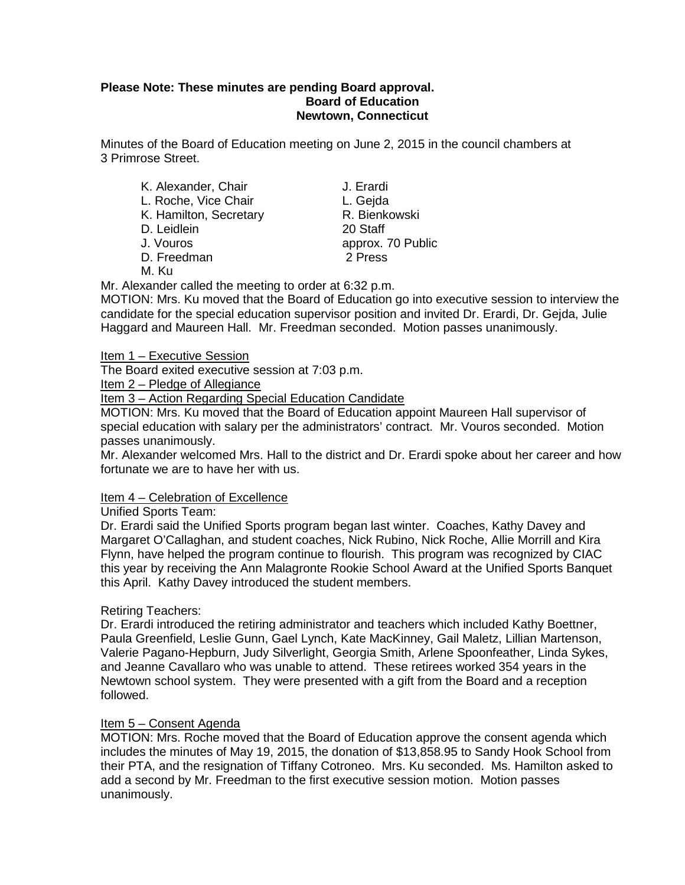#### **Please Note: These minutes are pending Board approval. Board of Education Newtown, Connecticut**

Minutes of the Board of Education meeting on June 2, 2015 in the council chambers at 3 Primrose Street.

| K. Alexander, Chair    | J. Erardi         |
|------------------------|-------------------|
| L. Roche, Vice Chair   | L. Gejda          |
| K. Hamilton, Secretary | R. Bienkowski     |
| D. Leidlein            | 20 Staff          |
| J. Vouros              | approx. 70 Public |
| D. Freedman            | 2 Press           |
| .                      |                   |

M. Ku

Mr. Alexander called the meeting to order at 6:32 p.m.

MOTION: Mrs. Ku moved that the Board of Education go into executive session to interview the candidate for the special education supervisor position and invited Dr. Erardi, Dr. Gejda, Julie Haggard and Maureen Hall. Mr. Freedman seconded. Motion passes unanimously.

Item 1 – Executive Session

The Board exited executive session at 7:03 p.m.

Item 2 – Pledge of Allegiance

Item 3 – Action Regarding Special Education Candidate

MOTION: Mrs. Ku moved that the Board of Education appoint Maureen Hall supervisor of special education with salary per the administrators' contract. Mr. Vouros seconded. Motion passes unanimously.

Mr. Alexander welcomed Mrs. Hall to the district and Dr. Erardi spoke about her career and how fortunate we are to have her with us.

#### Item 4 – Celebration of Excellence

Unified Sports Team:

Dr. Erardi said the Unified Sports program began last winter. Coaches, Kathy Davey and Margaret O'Callaghan, and student coaches, Nick Rubino, Nick Roche, Allie Morrill and Kira Flynn, have helped the program continue to flourish. This program was recognized by CIAC this year by receiving the Ann Malagronte Rookie School Award at the Unified Sports Banquet this April. Kathy Davey introduced the student members.

Retiring Teachers:

Dr. Erardi introduced the retiring administrator and teachers which included Kathy Boettner, Paula Greenfield, Leslie Gunn, Gael Lynch, Kate MacKinney, Gail Maletz, Lillian Martenson, Valerie Pagano-Hepburn, Judy Silverlight, Georgia Smith, Arlene Spoonfeather, Linda Sykes, and Jeanne Cavallaro who was unable to attend. These retirees worked 354 years in the Newtown school system. They were presented with a gift from the Board and a reception followed.

#### Item 5 – Consent Agenda

MOTION: Mrs. Roche moved that the Board of Education approve the consent agenda which includes the minutes of May 19, 2015, the donation of \$13,858.95 to Sandy Hook School from their PTA, and the resignation of Tiffany Cotroneo. Mrs. Ku seconded. Ms. Hamilton asked to add a second by Mr. Freedman to the first executive session motion. Motion passes unanimously.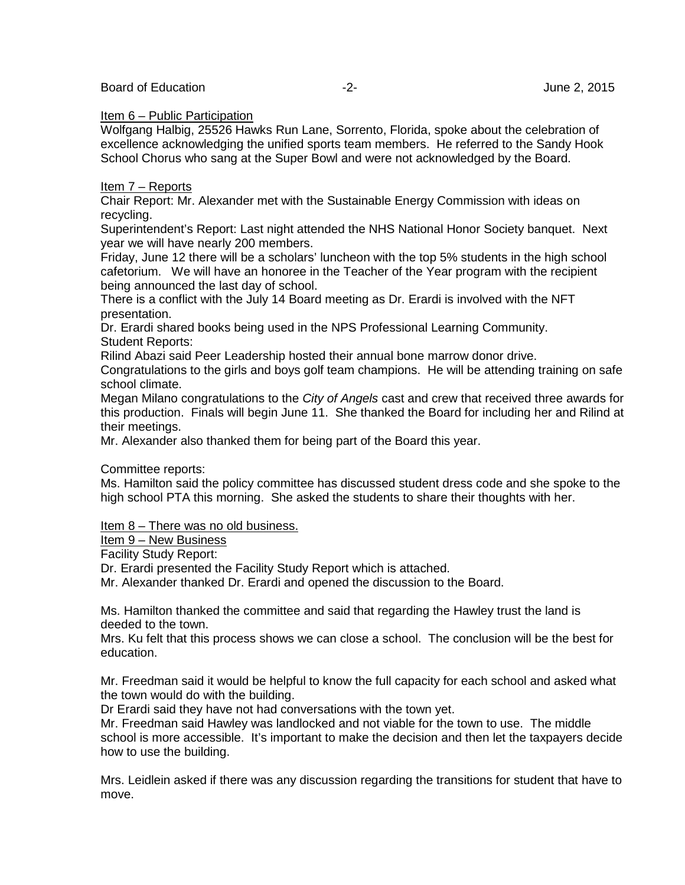#### Item 6 – Public Participation

Wolfgang Halbig, 25526 Hawks Run Lane, Sorrento, Florida, spoke about the celebration of excellence acknowledging the unified sports team members. He referred to the Sandy Hook School Chorus who sang at the Super Bowl and were not acknowledged by the Board.

#### Item 7 – Reports

Chair Report: Mr. Alexander met with the Sustainable Energy Commission with ideas on recycling.

Superintendent's Report: Last night attended the NHS National Honor Society banquet. Next year we will have nearly 200 members.

Friday, June 12 there will be a scholars' luncheon with the top 5% students in the high school cafetorium. We will have an honoree in the Teacher of the Year program with the recipient being announced the last day of school.

There is a conflict with the July 14 Board meeting as Dr. Erardi is involved with the NFT presentation.

Dr. Erardi shared books being used in the NPS Professional Learning Community. Student Reports:

Rilind Abazi said Peer Leadership hosted their annual bone marrow donor drive.

Congratulations to the girls and boys golf team champions. He will be attending training on safe school climate.

Megan Milano congratulations to the *City of Angels* cast and crew that received three awards for this production. Finals will begin June 11. She thanked the Board for including her and Rilind at their meetings.

Mr. Alexander also thanked them for being part of the Board this year.

Committee reports:

Ms. Hamilton said the policy committee has discussed student dress code and she spoke to the high school PTA this morning. She asked the students to share their thoughts with her.

#### Item 8 – There was no old business.

Item 9 – New Business

Facility Study Report:

Dr. Erardi presented the Facility Study Report which is attached.

Mr. Alexander thanked Dr. Erardi and opened the discussion to the Board.

Ms. Hamilton thanked the committee and said that regarding the Hawley trust the land is deeded to the town.

Mrs. Ku felt that this process shows we can close a school. The conclusion will be the best for education.

Mr. Freedman said it would be helpful to know the full capacity for each school and asked what the town would do with the building.

Dr Erardi said they have not had conversations with the town yet.

Mr. Freedman said Hawley was landlocked and not viable for the town to use. The middle school is more accessible. It's important to make the decision and then let the taxpayers decide how to use the building.

Mrs. Leidlein asked if there was any discussion regarding the transitions for student that have to move.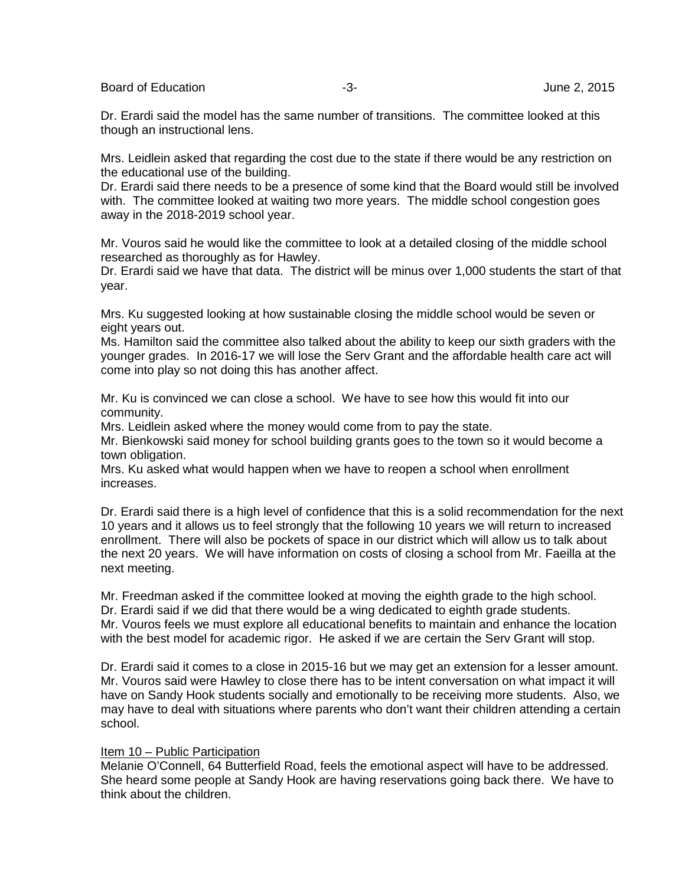Board of Education and the set of the set of the set of the set of the set of the set of the set of the set of the set of the set of the set of the set of the set of the set of the set of the set of the set of the set of t

Dr. Erardi said the model has the same number of transitions. The committee looked at this though an instructional lens.

Mrs. Leidlein asked that regarding the cost due to the state if there would be any restriction on the educational use of the building.

Dr. Erardi said there needs to be a presence of some kind that the Board would still be involved with. The committee looked at waiting two more years. The middle school congestion goes away in the 2018-2019 school year.

Mr. Vouros said he would like the committee to look at a detailed closing of the middle school researched as thoroughly as for Hawley.

Dr. Erardi said we have that data. The district will be minus over 1,000 students the start of that year.

Mrs. Ku suggested looking at how sustainable closing the middle school would be seven or eight years out.

Ms. Hamilton said the committee also talked about the ability to keep our sixth graders with the younger grades. In 2016-17 we will lose the Serv Grant and the affordable health care act will come into play so not doing this has another affect.

Mr. Ku is convinced we can close a school. We have to see how this would fit into our community.

Mrs. Leidlein asked where the money would come from to pay the state.

Mr. Bienkowski said money for school building grants goes to the town so it would become a town obligation.

Mrs. Ku asked what would happen when we have to reopen a school when enrollment increases.

Dr. Erardi said there is a high level of confidence that this is a solid recommendation for the next 10 years and it allows us to feel strongly that the following 10 years we will return to increased enrollment. There will also be pockets of space in our district which will allow us to talk about the next 20 years. We will have information on costs of closing a school from Mr. Faeilla at the next meeting.

Mr. Freedman asked if the committee looked at moving the eighth grade to the high school. Dr. Erardi said if we did that there would be a wing dedicated to eighth grade students. Mr. Vouros feels we must explore all educational benefits to maintain and enhance the location with the best model for academic rigor. He asked if we are certain the Serv Grant will stop.

Dr. Erardi said it comes to a close in 2015-16 but we may get an extension for a lesser amount. Mr. Vouros said were Hawley to close there has to be intent conversation on what impact it will have on Sandy Hook students socially and emotionally to be receiving more students. Also, we may have to deal with situations where parents who don't want their children attending a certain school.

#### Item 10 – Public Participation

Melanie O'Connell, 64 Butterfield Road, feels the emotional aspect will have to be addressed. She heard some people at Sandy Hook are having reservations going back there. We have to think about the children.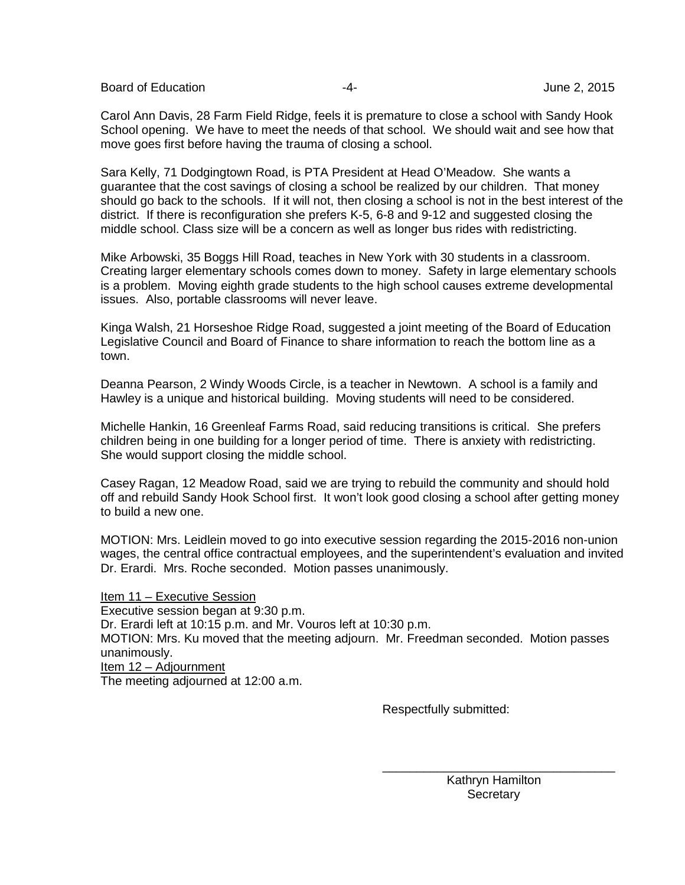Board of Education **Francisco Community** 2015

Carol Ann Davis, 28 Farm Field Ridge, feels it is premature to close a school with Sandy Hook School opening. We have to meet the needs of that school. We should wait and see how that move goes first before having the trauma of closing a school.

Sara Kelly, 71 Dodgingtown Road, is PTA President at Head O'Meadow. She wants a guarantee that the cost savings of closing a school be realized by our children. That money should go back to the schools. If it will not, then closing a school is not in the best interest of the district. If there is reconfiguration she prefers K-5, 6-8 and 9-12 and suggested closing the middle school. Class size will be a concern as well as longer bus rides with redistricting.

Mike Arbowski, 35 Boggs Hill Road, teaches in New York with 30 students in a classroom. Creating larger elementary schools comes down to money. Safety in large elementary schools is a problem. Moving eighth grade students to the high school causes extreme developmental issues. Also, portable classrooms will never leave.

Kinga Walsh, 21 Horseshoe Ridge Road, suggested a joint meeting of the Board of Education Legislative Council and Board of Finance to share information to reach the bottom line as a town.

Deanna Pearson, 2 Windy Woods Circle, is a teacher in Newtown. A school is a family and Hawley is a unique and historical building. Moving students will need to be considered.

Michelle Hankin, 16 Greenleaf Farms Road, said reducing transitions is critical. She prefers children being in one building for a longer period of time. There is anxiety with redistricting. She would support closing the middle school.

Casey Ragan, 12 Meadow Road, said we are trying to rebuild the community and should hold off and rebuild Sandy Hook School first. It won't look good closing a school after getting money to build a new one.

MOTION: Mrs. Leidlein moved to go into executive session regarding the 2015-2016 non-union wages, the central office contractual employees, and the superintendent's evaluation and invited Dr. Erardi. Mrs. Roche seconded. Motion passes unanimously.

Item 11 – Executive Session Executive session began at 9:30 p.m. Dr. Erardi left at 10:15 p.m. and Mr. Vouros left at 10:30 p.m. MOTION: Mrs. Ku moved that the meeting adjourn. Mr. Freedman seconded. Motion passes unanimously. Item 12 – Adjournment The meeting adjourned at 12:00 a.m.

Respectfully submitted:

 Kathryn Hamilton **Secretary** 

\_\_\_\_\_\_\_\_\_\_\_\_\_\_\_\_\_\_\_\_\_\_\_\_\_\_\_\_\_\_\_\_\_\_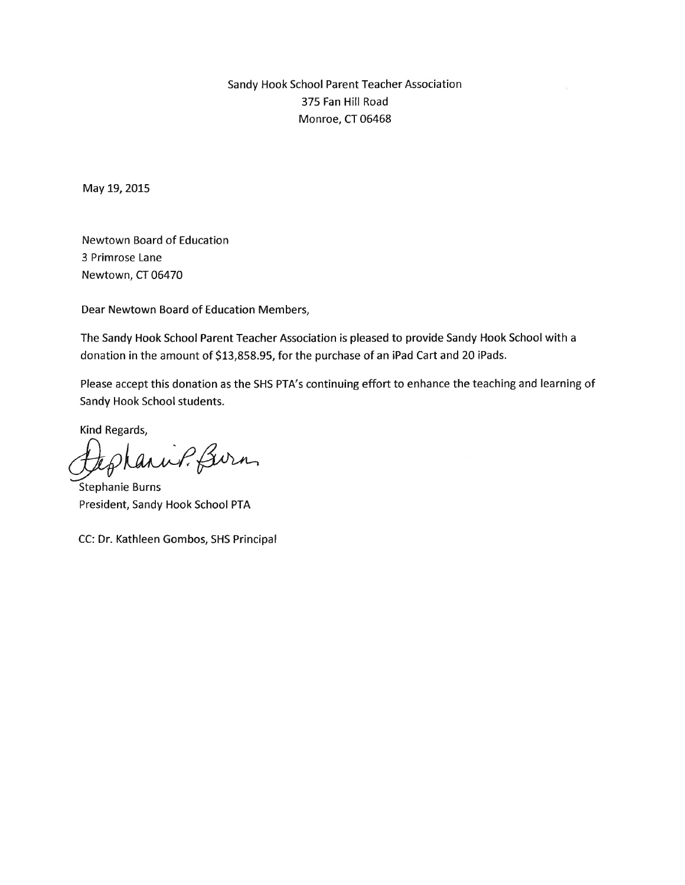#### Sandy Hook School Parent Teacher Association 375 Fan Hill Road Monroe, CT 06468

May 19, 2015

**Newtown Board of Education** 3 Primrose Lane Newtown, CT 06470

Dear Newtown Board of Education Members,

The Sandy Hook School Parent Teacher Association is pleased to provide Sandy Hook School with a donation in the amount of \$13,858.95, for the purchase of an iPad Cart and 20 iPads.

Please accept this donation as the SHS PTA's continuing effort to enhance the teaching and learning of Sandy Hook School students.

Kind Regards,

anuf. Burn

Stephanie Burns President, Sandy Hook School PTA

CC: Dr. Kathleen Gombos, SHS Principal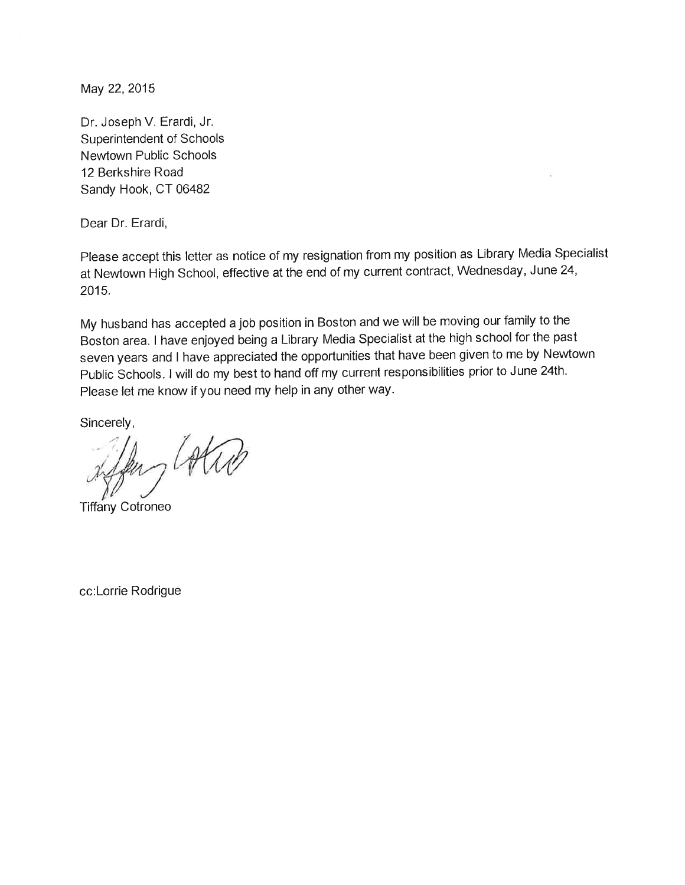May 22, 2015

Dr. Joseph V. Erardi, Jr. Superintendent of Schools Newtown Public Schools 12 Berkshire Road Sandy Hook, CT 06482

Dear Dr. Erardi,

Please accept this letter as notice of my resignation from my position as Library Media Specialist at Newtown High School, effective at the end of my current contract, Wednesday, June 24, 2015.

My husband has accepted a job position in Boston and we will be moving our family to the Boston area. I have enjoyed being a Library Media Specialist at the high school for the past seven years and I have appreciated the opportunities that have been given to me by Newtown Public Schools. I will do my best to hand off my current responsibilities prior to June 24th. Please let me know if you need my help in any other way.

Sincerely,

**Tiffany Cotroneo** 

cc:Lorrie Rodrigue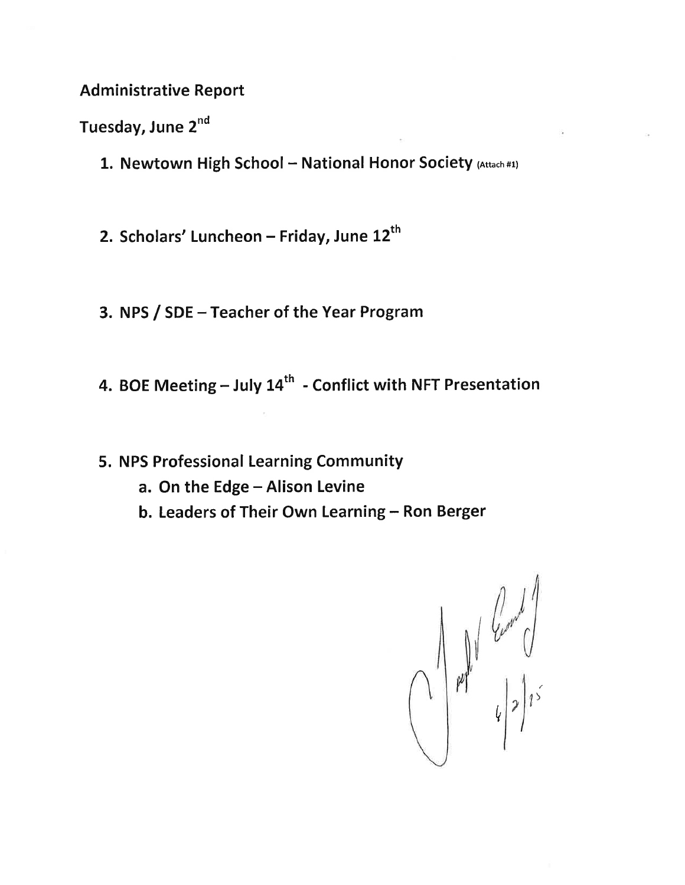#### **Administrative Report**

Tuesday, June 2<sup>nd</sup>

- 1. Newtown High School National Honor Society (Attach #1)
- 2. Scholars' Luncheon Friday, June 12<sup>th</sup>
- 3. NPS / SDE Teacher of the Year Program
- 4. BOE Meeting July 14<sup>th</sup> Conflict with NFT Presentation
- 5. NPS Professional Learning Community
	- a. On the Edge Alison Levine
	- b. Leaders of Their Own Learning Ron Berger

 $\frac{1}{\frac{1}{2}}\int_{\frac{1}{2}}^{\frac{1}{2}}\int_{\frac{1}{2}}^{\frac{1}{2}}\int_{\frac{1}{2}}^{\frac{1}{2}}\int_{\frac{1}{2}}^{\frac{1}{2}}\int_{\frac{1}{2}}^{\frac{1}{2}}\int_{\frac{1}{2}}^{\frac{1}{2}}\int_{\frac{1}{2}}^{\frac{1}{2}}\int_{\frac{1}{2}}^{\frac{1}{2}}\int_{\frac{1}{2}}^{\frac{1}{2}}\int_{\frac{1}{2}}^{\frac{1}{2}}\int_{\frac{1}{2}}^{\frac{1}{2}}\int_{\frac{1}{2}}$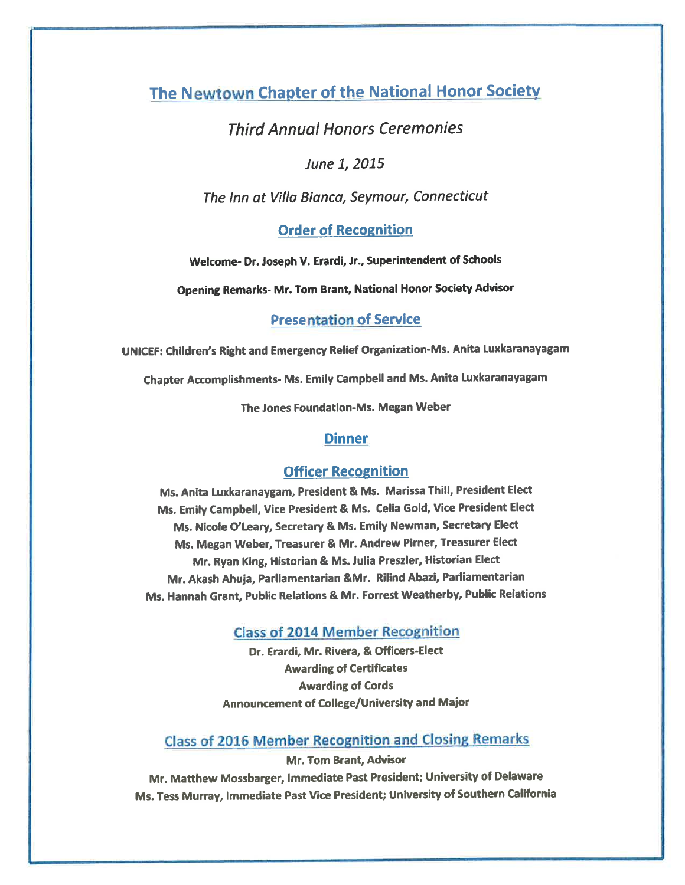The Newtown Chapter of the National Honor Society

#### **Third Annual Honors Ceremonies**

June 1, 2015

The Inn at Villa Bianca, Seymour, Connecticut

**Order of Recognition** 

Welcome- Dr. Joseph V. Erardi, Jr., Superintendent of Schools

**Opening Remarks- Mr. Tom Brant, National Honor Society Advisor** 

**Presentation of Service** 

UNICEF: Children's Right and Emergency Relief Organization-Ms. Anita Luxkaranayagam

Chapter Accomplishments- Ms. Emily Campbell and Ms. Anita Luxkaranayagam

The Jones Foundation-Ms. Megan Weber

#### **Dinner**

#### **Officer Recognition**

Ms. Anita Luxkaranaygam, President & Ms. Marissa Thill, President Elect Ms. Emily Campbell, Vice President & Ms. Celia Gold, Vice President Elect Ms. Nicole O'Leary, Secretary & Ms. Emily Newman, Secretary Elect Ms. Megan Weber, Treasurer & Mr. Andrew Pirner, Treasurer Elect Mr. Ryan King, Historian & Ms. Julia Preszler, Historian Elect Mr. Akash Ahuja, Parliamentarian &Mr. Rilind Abazi, Parliamentarian Ms. Hannah Grant, Public Relations & Mr. Forrest Weatherby, Public Relations

**Class of 2014 Member Recognition** 

Dr. Erardi, Mr. Rivera, & Officers-Elect **Awarding of Certificates Awarding of Cords** Announcement of College/University and Major

**Class of 2016 Member Recognition and Closing Remarks** 

Mr. Tom Brant, Advisor Mr. Matthew Mossbarger, Immediate Past President; University of Delaware Ms. Tess Murray, Immediate Past Vice President; University of Southern California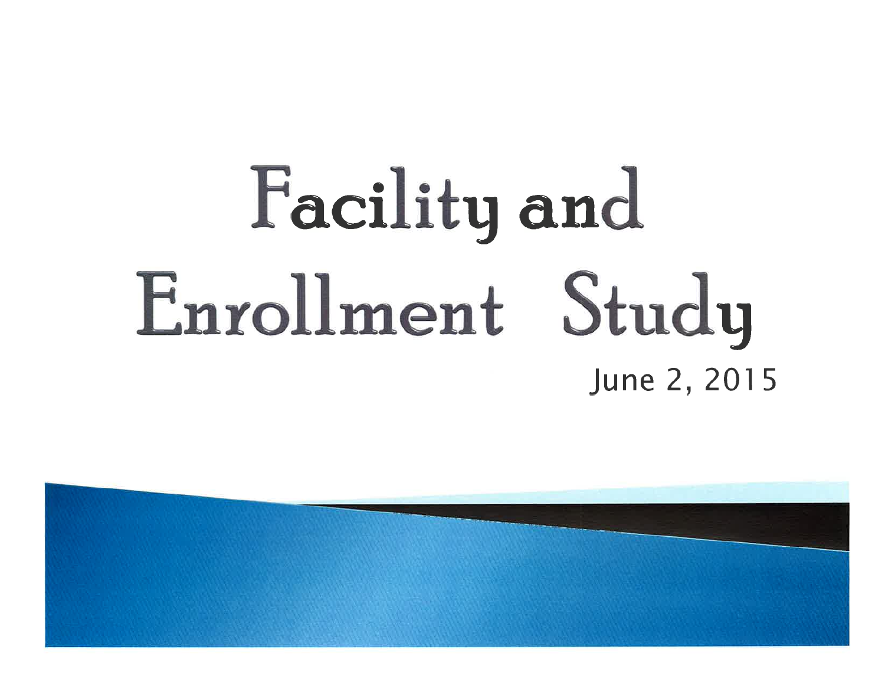# Facility and Enrollment Study June 2, 2015

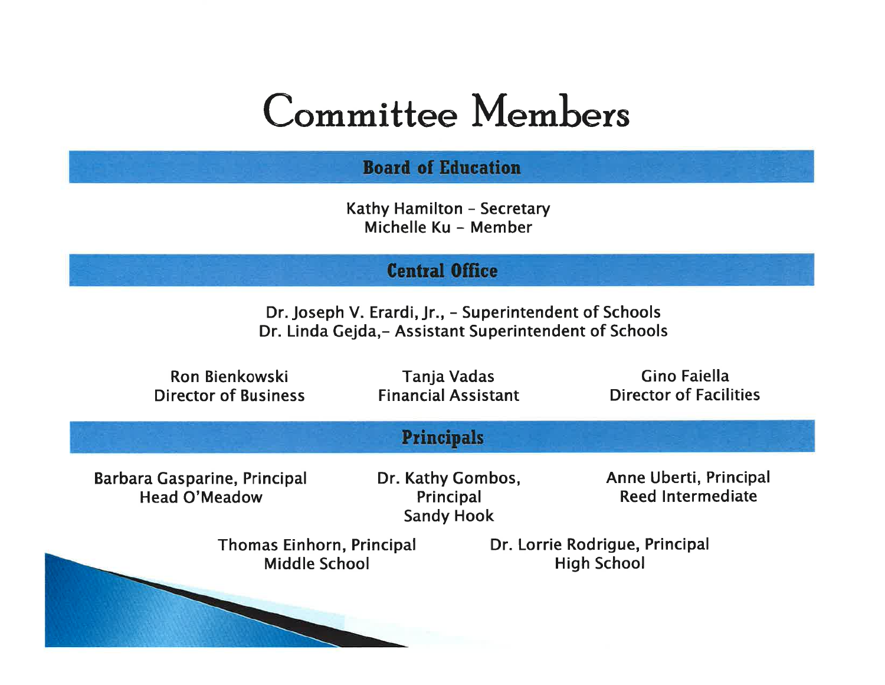## **Committee Members**

#### **Board of Education**

Kathy Hamilton - Secretary Michelle Ku - Member

#### **Central Office**

Dr. Joseph V. Erardi, Jr., - Superintendent of Schools Dr. Linda Gejda, - Assistant Superintendent of Schools

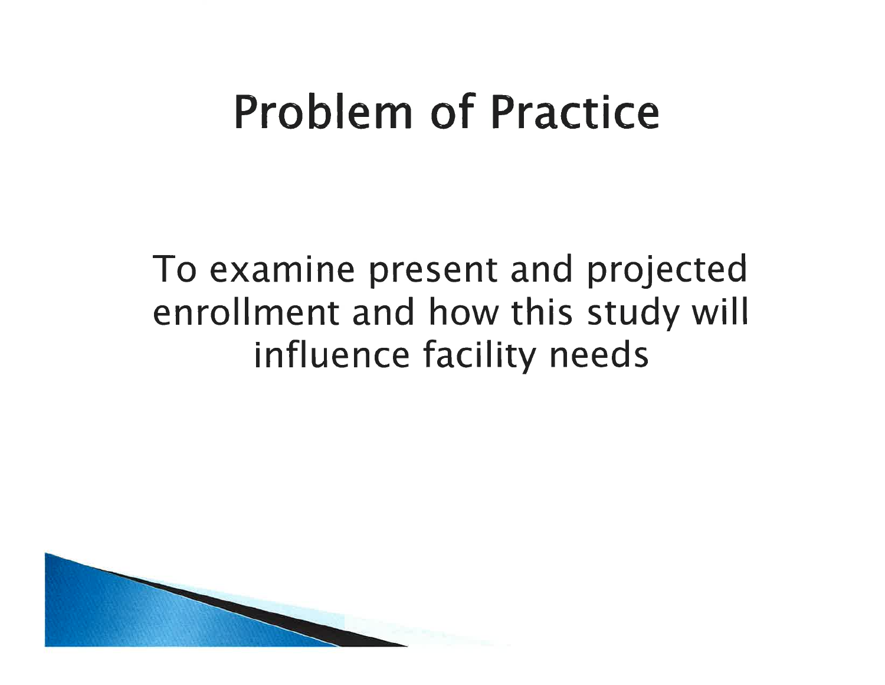## **Problem of Practice**

## To examine present and projected enrollment and how this study will influence facility needs

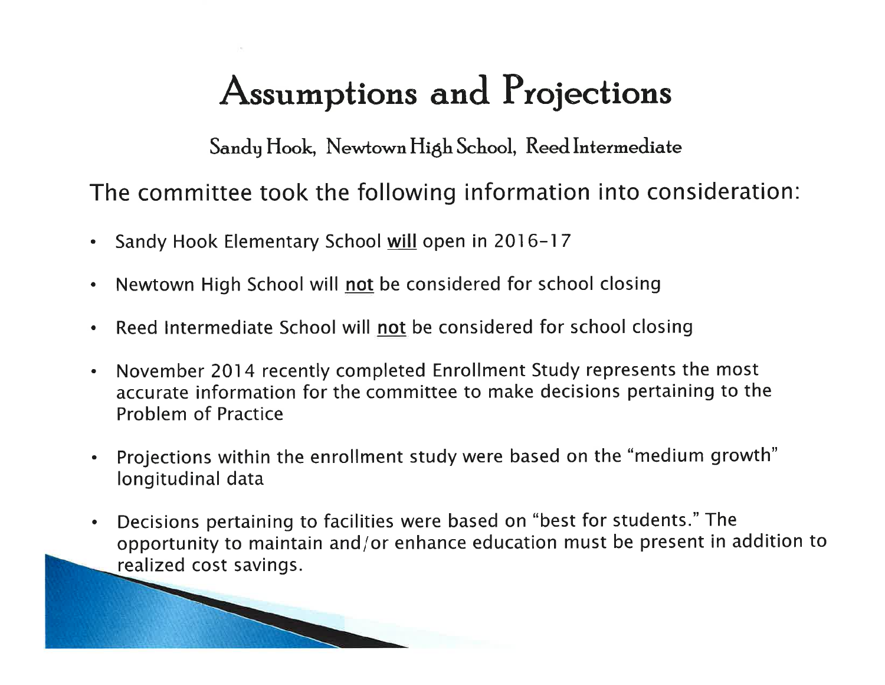## Assumptions and Projections

Sandy Hook, Newtown High School, Reed Intermediate

The committee took the following information into consideration:

Sandy Hook Elementary School will open in 2016-17  $\bullet$ 

**READER** 

- Newtown High School will not be considered for school closing  $\bullet$
- Reed Intermediate School will not be considered for school closing  $\bullet$
- November 2014 recently completed Enrollment Study represents the most  $\bullet$ accurate information for the committee to make decisions pertaining to the **Problem of Practice**
- Projections within the enrollment study were based on the "medium growth"  $\bullet$ longitudinal data
- Decisions pertaining to facilities were based on "best for students." The  $\bullet$ opportunity to maintain and/or enhance education must be present in addition to realized cost savings.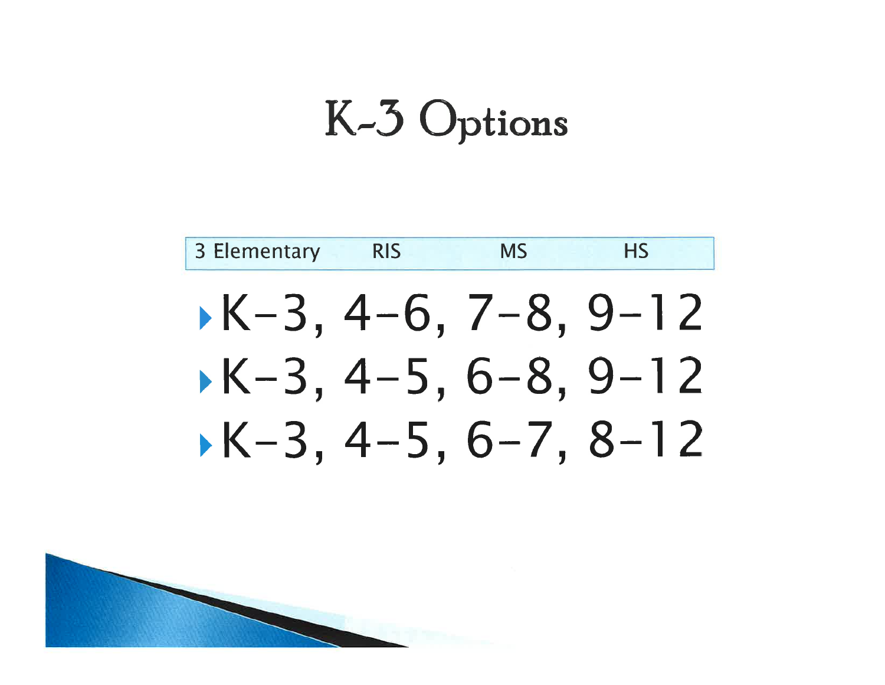## K-3 Options



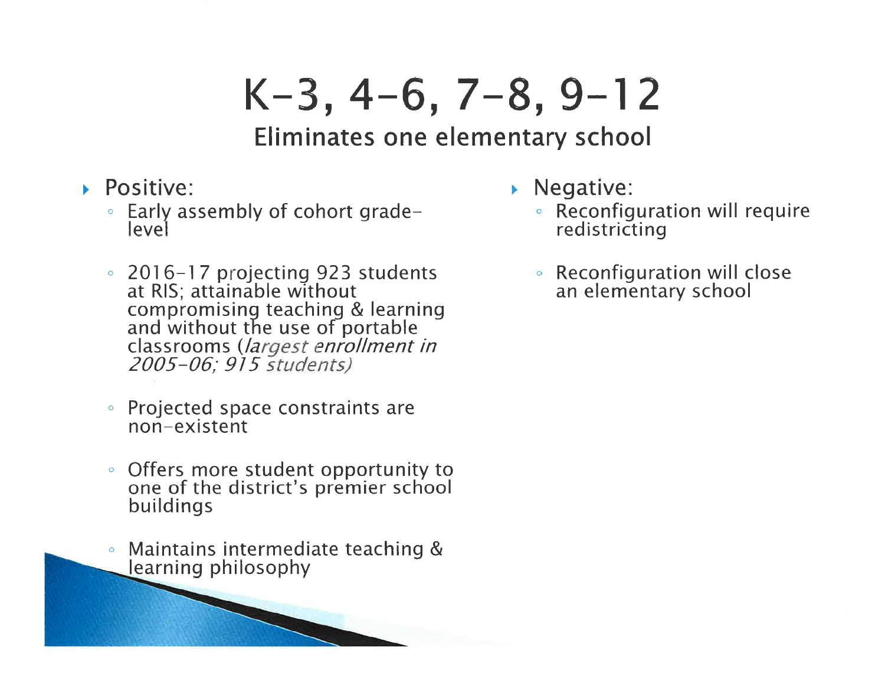## $K-3, 4-6, 7-8, 9-12$

### Eliminates one elementary school

- Positive:
	- Early assembly of cohort gradelevel
	- 2016-17 projecting 923 students<br>at RIS; attainable without compromising teaching & learning<br>and without the use of portable classrooms (largest enrollment in 2005-06; 915 students)
	- Projected space constraints are non-existent
	- Offers more student opportunity to one of the district's premier school buildings
	- Maintains intermediate teaching &  $\bullet$ learning philosophy

**REGISTER** 

- $\triangleright$  Negative:
	- Reconfiguration will require redistricting
	- Reconfiguration will close an elementary school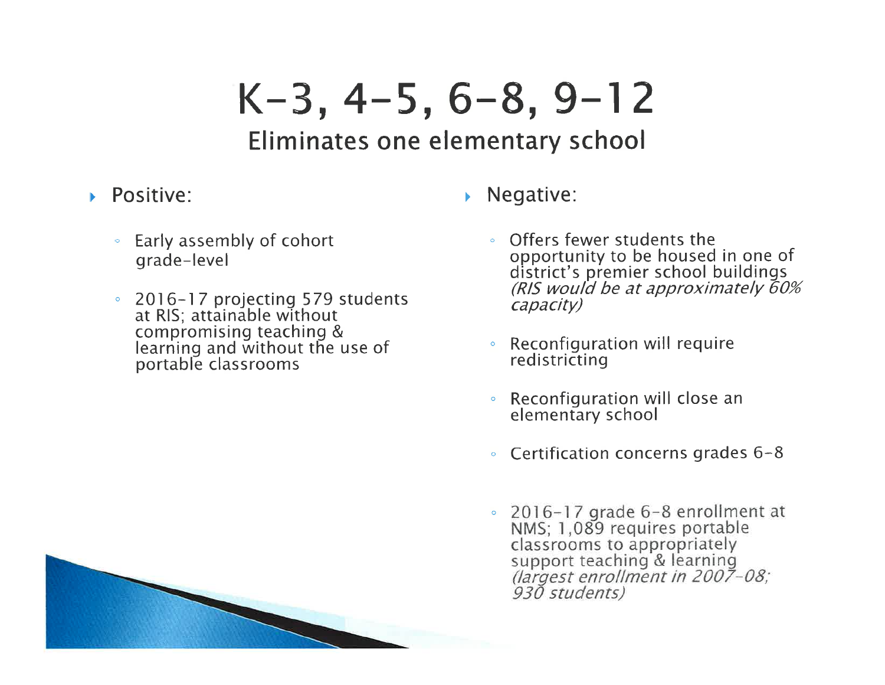## $K-3, 4-5, 6-8, 9-12$

### Eliminates one elementary school

#### $\triangleright$  Positive:

- Early assembly of cohort grade-level
- 2016-17 projecting 579 students at RIS; attainable without compromising teaching & learning and without the use of portable classrooms
- $\triangleright$  Negative:
	- Offers fewer students the  $\circ$ opportunity to be housed in one of<br>district's premier school buildings (RIS would be at approximately 60% capacity)
	- Reconfiguration will require  $\ddot{\mathbf{o}}$ redistricting
	- Reconfiguration will close an elementary school
	- Certification concerns grades 6-8
	- $\degree$  2016-17 grade 6-8 enrollment at NMS; 1,089 requires portable classrooms to appropriately support teaching & learning<br>(largest enrollment in 2007-08;<br>930 students)

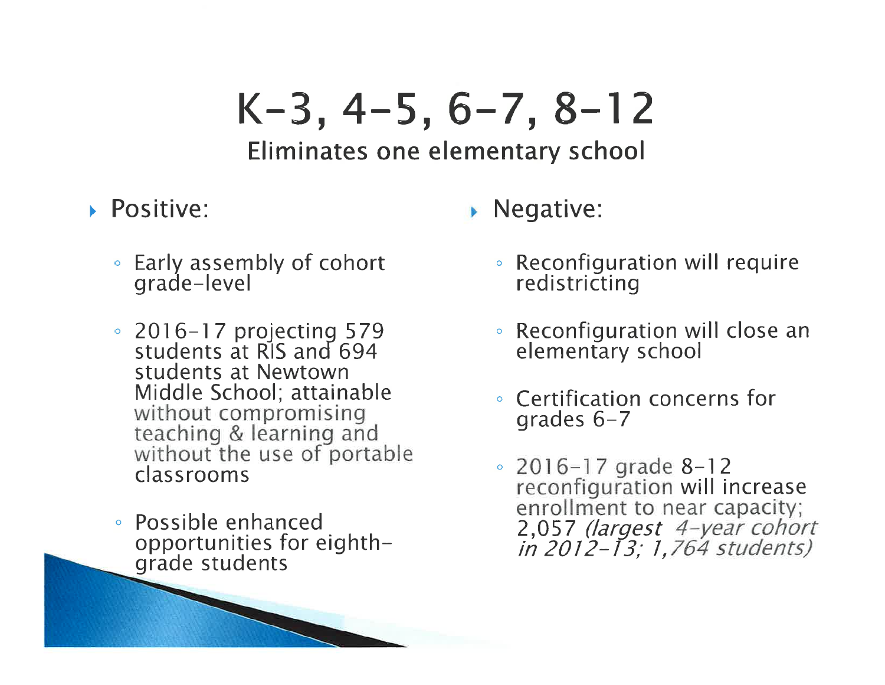# $K-3, 4-5, 6-7, 8-12$

### Eliminates one elementary school

- ▶ Positive:
	- Early assembly of cohort grade-level
	- 2016-17 projecting 579<br>students at RIS and 694 students at Newtown Middle School; attainable without compromising teaching & learning and without the use of portable classrooms
	- Possible enhanced opportunities for eighthgrade students
- Negative:
	- Reconfiguration will require redistricting
	- Reconfiguration will close an elementary school
	- Certification concerns for grades  $6-7$
	- $\degree$  2016-17 grade 8-12 reconfiguration will increase enrollment to near capacity; 2,057 (largest 4-year cohort<br>in 2012-13; 1,764 students)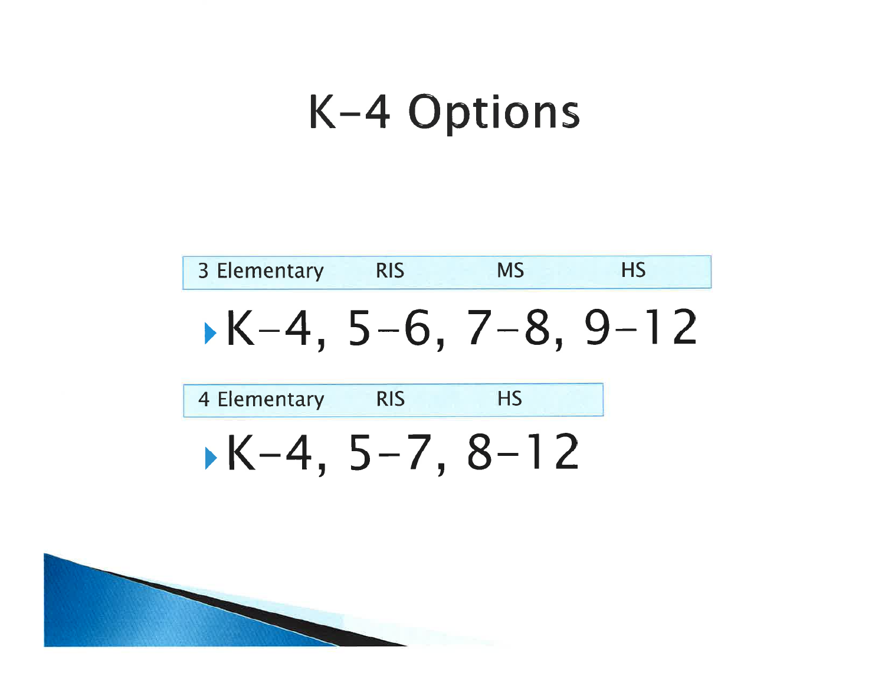## K-4 Options



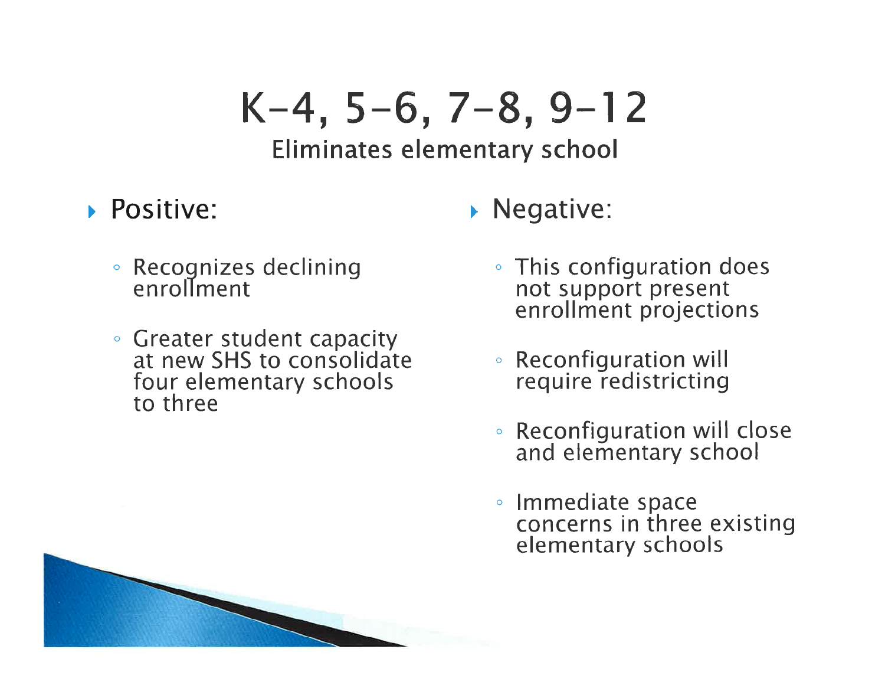# $K-4, 5-6, 7-8, 9-12$

### Eliminates elementary school

- Positive:
	- · Recognizes declining<br>enrollment
	- Greater student capacity<br>at new SHS to consolidate four elementary schools to three
- $\triangleright$  Negative:
	- This configuration does not support present enrollment projections
	- Reconfiguration will require redistricting
	- Reconfiguration will close and elementary school
	- Immediate space<br>concerns in three existing elementary schools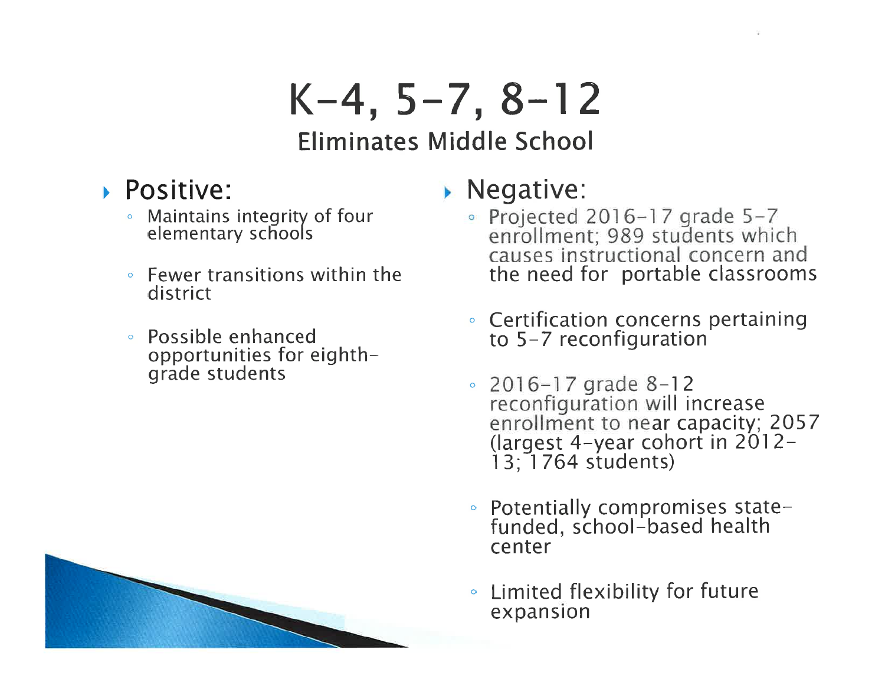# $K-4, 5-7, 8-12$

### **Eliminates Middle School**

- Positive:
	- Maintains integrity of four elementary schools
	- **Fewer transitions within the** district
	- Possible enhanced opportunities for eighthgrade students

### $\triangleright$  Negative:

- Projected 2016-17 grade  $5-7$ enrollment; 989 students which<br>causes instructional concern and the need for portable classrooms
- Certification concerns pertaining to 5-7 reconfiguration
- 2016-17 grade  $8-12$ reconfiguration will increase<br>enrollment to near capacity; 2057 (largest 4-year cohort in 2012- $13; 1764$  students)
- Potentially compromises statefunded, school-based health center
- Limited flexibility for future expansion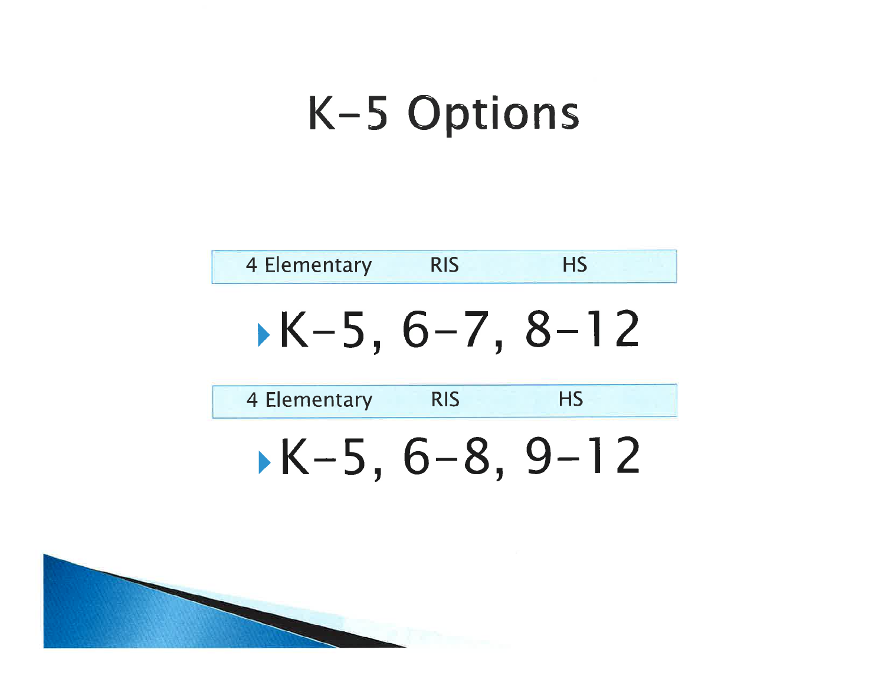## K-5 Options



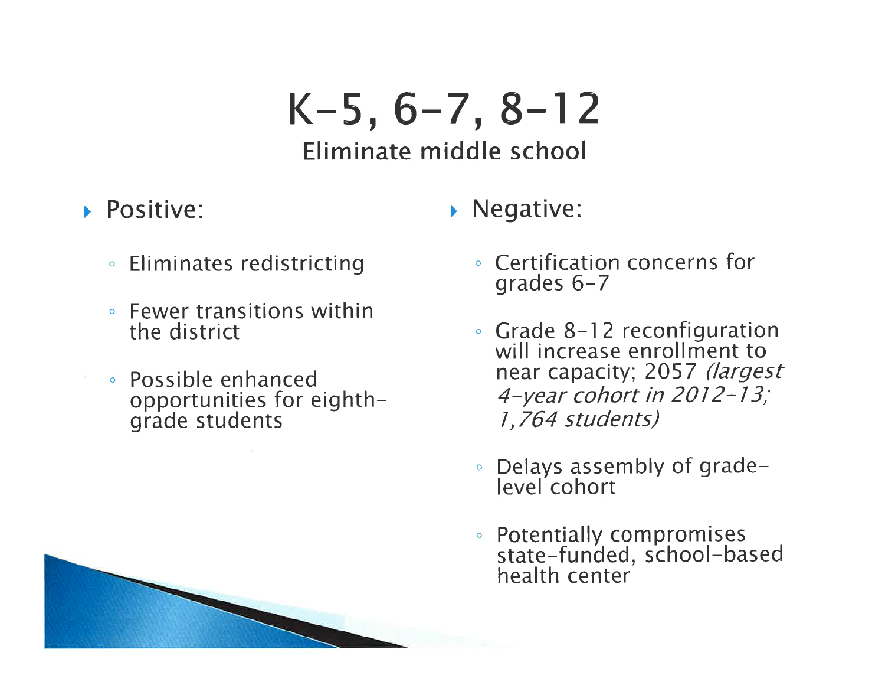## $K-5, 6-7, 8-12$ Eliminate middle school

• Negative:

### Positive:

- **Eliminates redistricting**  $\circ$
- Fewer transitions within the district
- Possible enhanced opportunities for eighthgrade students
- Certification concerns for grades  $6-7$
- Grade 8-12 reconfiguration<br>will increase enrollment to near capacity; 2057 (largest 4-year cohort in 2012-13; 1,764 students)
- Delays assembly of grade- $\bullet$ level cohort
- Potentially compromises state-funded, school-based health center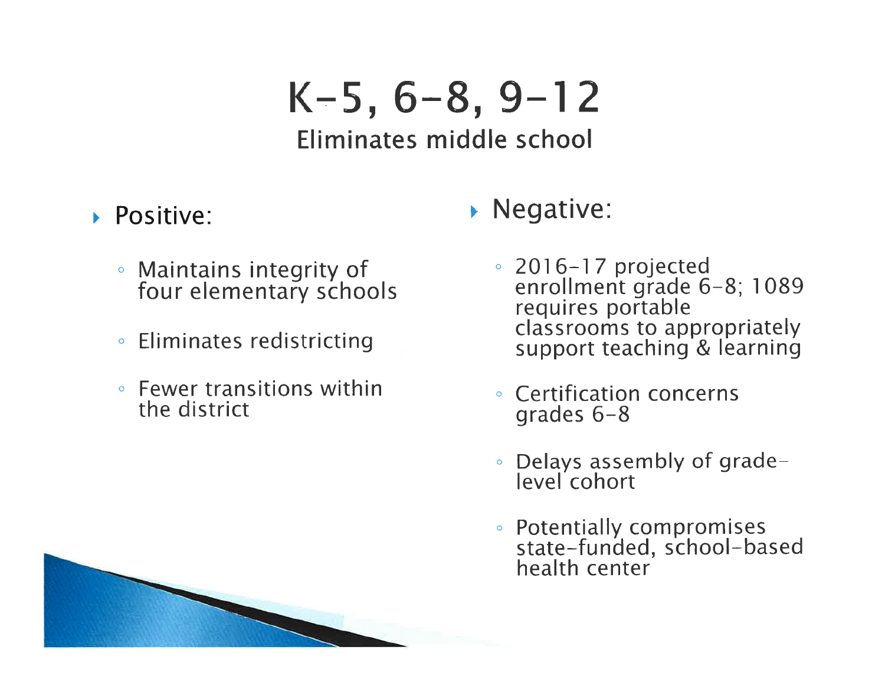# $K-5, 6-8, 9-12$

### Eliminates middle school

- $\triangleright$  Positive:
	- Maintains integrity of four elementary schools
	- Eliminates redistricting
	- Fewer transitions within the district
- $\triangleright$  Negative:
	- <p>∘ 2016–17 projected<br/>\n enrollment grade 6–8; 1089<br/>\n requires portable</p> classrooms to appropriately support teaching & learning
	- **Certification concerns** grades  $6-8$
	- Delays assembly of gradelevel cohort
	- Potentially compromises<br>state-funded, school-based<br>health center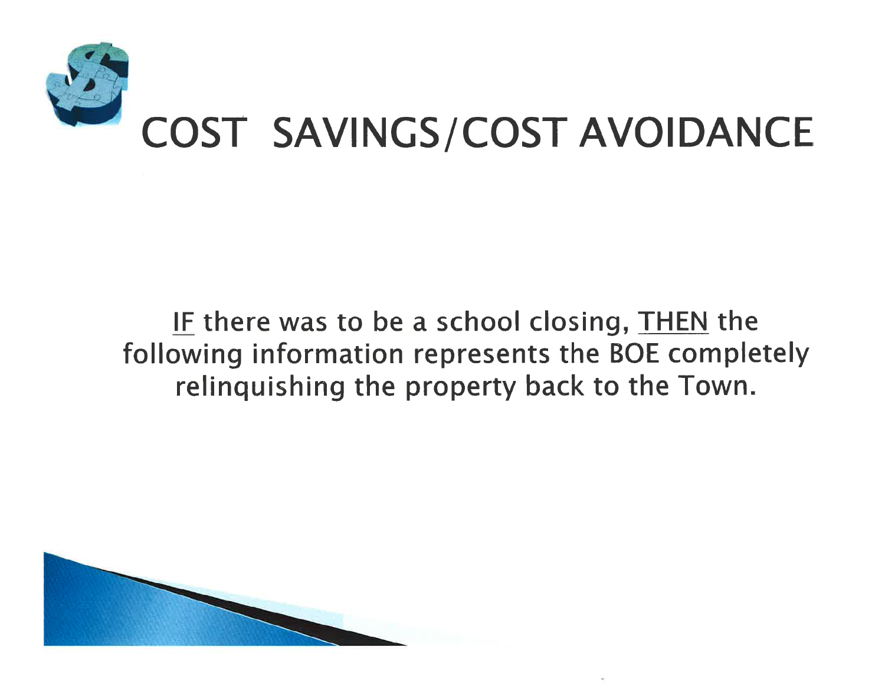

### IF there was to be a school closing, THEN the following information represents the BOE completely relinguishing the property back to the Town.

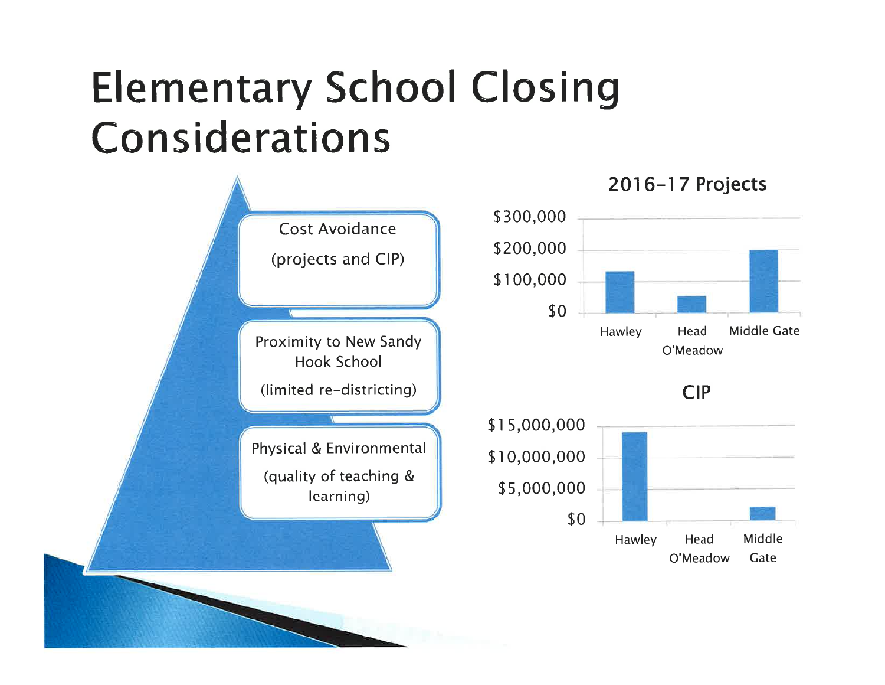## **Elementary School Closing** Considerations

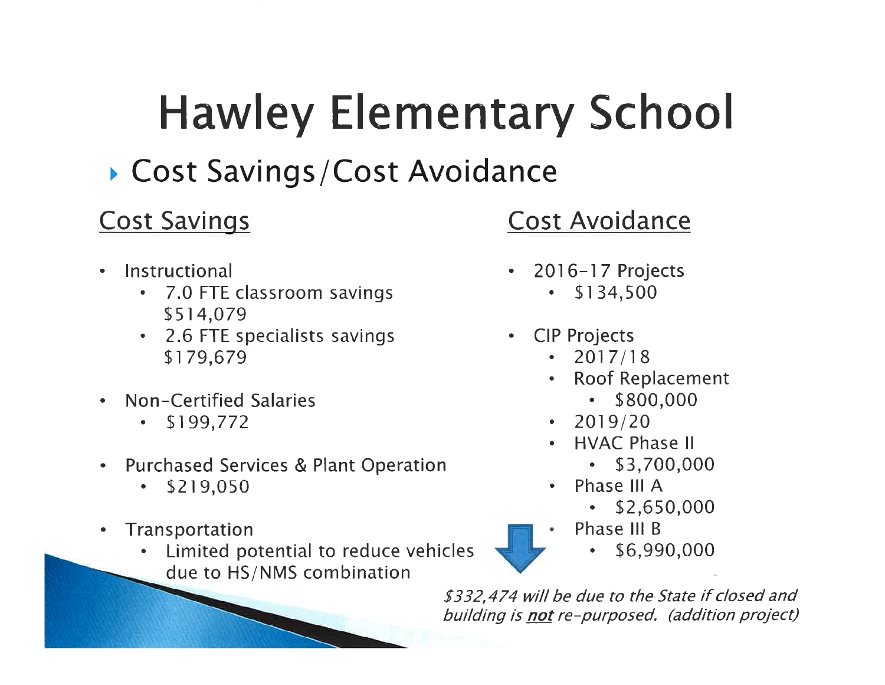# **Hawley Elementary School**

## ▶ Cost Savings/Cost Avoidance

### **Cost Savings**

- Instructional  $\bullet$ 
	- 7.0 FTE classroom savings  $\bullet$ \$514,079
	- 2.6 FTE specialists savings \$179.679
- Non-Certified Salaries
	- \$199,772
- **Purchased Services & Plant Operation**  $\bullet$ 
	- \$219,050
- Transportation  $\bullet$ 
	- Limited potential to reduce vehicles due to HS/NMS combination

## **Cost Avoidance**

- 2016-17 Projects
	- \$134,500
- CIP Projects
	- $\cdot$  2017/18
	- **Roof Replacement** 
		- $•$  \$800,000
	- $\cdot$  2019/20
	- **HVAC Phase II** 
		- $\cdot$  \$3,700,000
	- Phase III A
		- $\cdot$  \$2,650,000
	- Phase III B
		- \$6,990,000

\$332,474 will be due to the State if closed and building is not re-purposed. (addition project)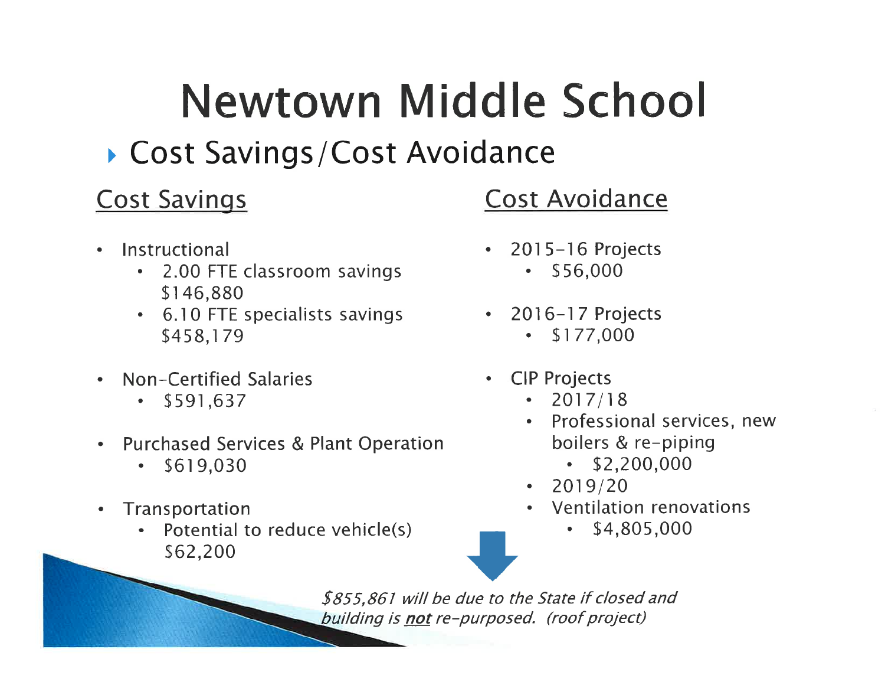# Newtown Middle School

Cost Savings/Cost Avoidance

### **Cost Savings**

- Instructional  $\bullet$ 
	- 2.00 FTE classroom savings  $\bullet$  . \$146,880
	- 6.10 FTE specialists savings \$458,179
- Non-Certified Salaries
	- \$591,637  $\bullet$
- **Purchased Services & Plant Operation**  $\bullet$ 
	- \$619,030
- Transportation  $\bullet$ 
	- Potential to reduce vehicle(s) \$62,200

### **Cost Avoidance**

- $2015 16$  Projects
	- \$56,000  $\bullet$
- 2016-17 Projects \$177,000  $\bullet$  .
- **CIP Projects**  $\bullet$ 
	- $\cdot$  2017/18
	- Professional services, new boilers & re-piping
		- $\cdot$  \$2,200,000
	- 2019/20
	- Ventilation renovations
		- \$4,805,000

\$855,861 will be due to the State if closed and building is not re-purposed. (roof project)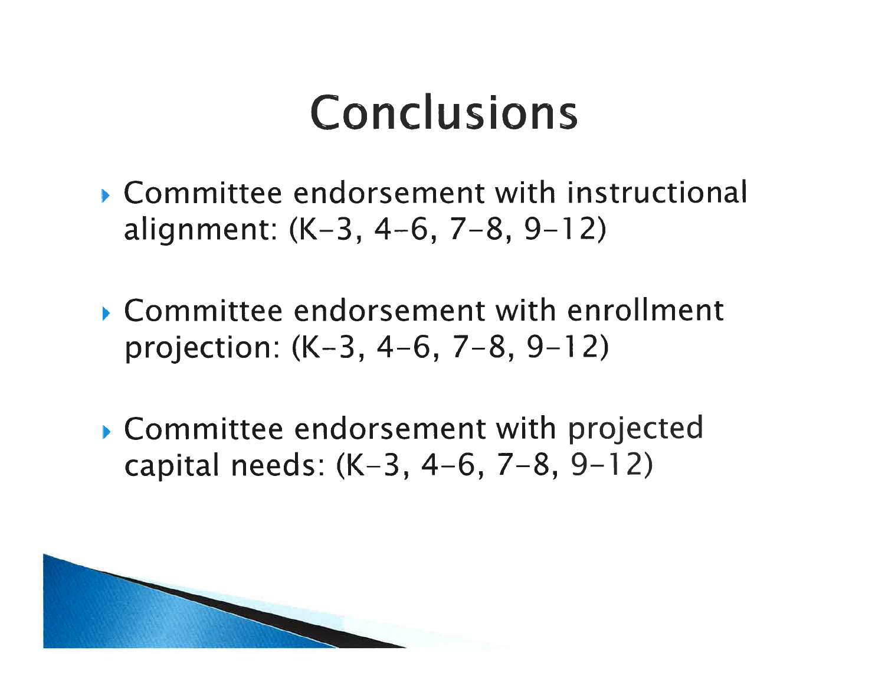## Conclusions

- Committee endorsement with instructional alignment:  $(K-3, 4-6, 7-8, 9-12)$
- Committee endorsement with enrollment projection: (K-3, 4-6, 7-8, 9-12)
- Committee endorsement with projected capital needs:  $(K-3, 4-6, 7-8, 9-12)$